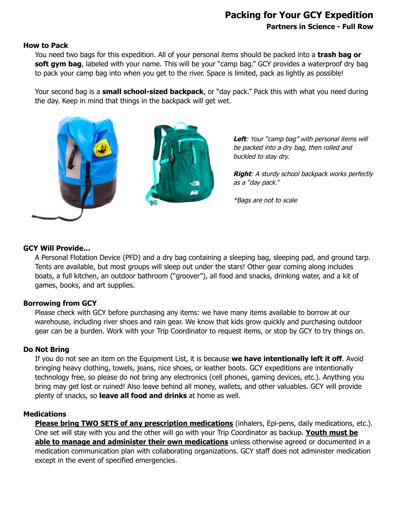## **Packing for Your GCY Expedition Partners in Science - Full Row**

#### **How to Pack**

You need two bags for this expedition. All of your personal items should be packed into a **trash bag or soft gym bag**, labeled with your name. This will be your "camp bag." GCY provides a waterproof dry bag to pack your camp bag into when you get to the river. Space is limited, pack as lightly as possible!

Your second bag is a **small school-sized backpack**, or "day pack." Pack this with what you need during the day. Keep in mind that things in the backpack will get wet.



Left: Your "camp bag" with personal items will be packed into a dry bag, then rolled and buckled to stay dry.

**Right**: A sturdy school backpack works perfectly as <sup>a</sup>"day pack."

\*Bags are not to scale

#### **GCY Will Provide…**

A Personal Flotation Device (PFD) and a dry bag containing a sleeping bag, sleeping pad, and ground tarp. Tents are available, but most groups will sleep out under the stars! Other gear coming along includes boats, a full kitchen, an outdoor bathroom ("groover"), all food and snacks, drinking water, and a kit of games, books, and art supplies.

#### **Borrowing from GCY**

Please check with GCY before purchasing any items: we have many items available to borrow at our warehouse, including river shoes and rain gear. We know that kids grow quickly and purchasing outdoor gear can be a burden. Work with your Trip Coordinator to request items, or stop by GCY to try things on.

#### **Do Not Bring**

If you do not see an item on the Equipment List, it is because **we have intentionally left it off**. Avoid bringing heavy clothing, towels, jeans, nice shoes, or leather boots. GCY expeditions are intentionally technology free, so please do not bring any electronics (cell phones, gaming devices, etc.). Anything you bring may get lost or ruined! Also leave behind all money, wallets, and other valuables. GCY will provide plenty of snacks, so **leave all food and drinks** at home as well.

### **Medications**

**Please bring TWO SETS of any prescription medications** (inhalers, Epi-pens, daily medications, etc.). One set will stay with you and the other will go with your Trip Coordinator as backup. **Youth must be able to manage and administer their own medications** unless otherwise agreed or documented in a medication communication plan with collaborating organizations. GCY staff does not administer medication except in the event of specified emergencies.